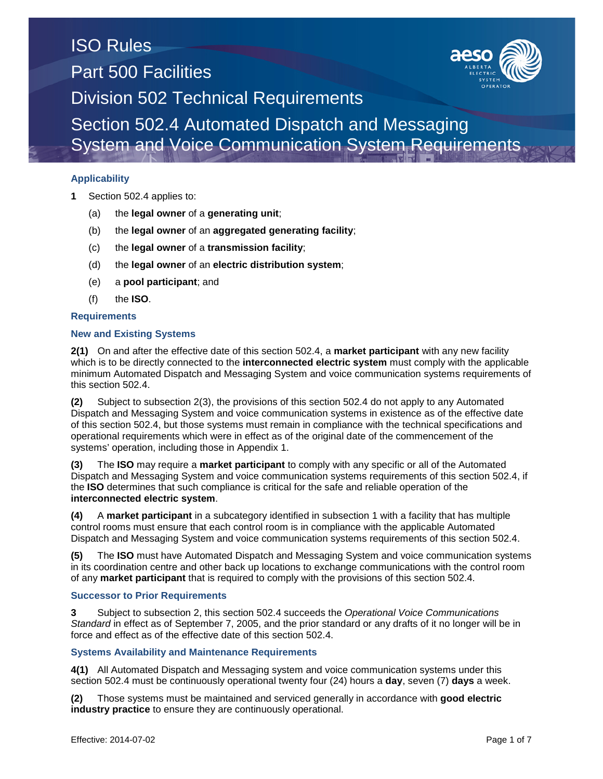## **Applicability**

- **1** Section 502.4 applies to:
	- (a) the **legal owner** of a **generating unit**;
	- (b) the **legal owner** of an **aggregated generating facility**;
	- (c) the **legal owner** of a **transmission facility**;
	- (d) the **legal owner** of an **electric distribution system**;
	- (e) a **pool participant**; and
	- (f) the **ISO**.

### **Requirements**

### **New and Existing Systems**

**2(1)** On and after the effective date of this section 502.4, a **market participant** with any new facility which is to be directly connected to the **interconnected electric system** must comply with the applicable minimum Automated Dispatch and Messaging System and voice communication systems requirements of this section 502.4.

**(2)** Subject to subsection 2(3), the provisions of this section 502.4 do not apply to any Automated Dispatch and Messaging System and voice communication systems in existence as of the effective date of this section 502.4, but those systems must remain in compliance with the technical specifications and operational requirements which were in effect as of the original date of the commencement of the systems' operation, including those in Appendix 1.

**(3)** The **ISO** may require a **market participant** to comply with any specific or all of the Automated Dispatch and Messaging System and voice communication systems requirements of this section 502.4, if the **ISO** determines that such compliance is critical for the safe and reliable operation of the **interconnected electric system**.

**(4)** A **market participant** in a subcategory identified in subsection 1 with a facility that has multiple control rooms must ensure that each control room is in compliance with the applicable Automated Dispatch and Messaging System and voice communication systems requirements of this section 502.4.

**(5)** The **ISO** must have Automated Dispatch and Messaging System and voice communication systems in its coordination centre and other back up locations to exchange communications with the control room of any **market participant** that is required to comply with the provisions of this section 502.4.

### **Successor to Prior Requirements**

**3** Subject to subsection 2, this section 502.4 succeeds the *Operational Voice Communications Standard* in effect as of September 7, 2005, and the prior standard or any drafts of it no longer will be in force and effect as of the effective date of this section 502.4.

### **Systems Availability and Maintenance Requirements**

**4(1)** All Automated Dispatch and Messaging system and voice communication systems under this section 502.4 must be continuously operational twenty four (24) hours a **day**, seven (7) **days** a week.

**(2)** Those systems must be maintained and serviced generally in accordance with **good electric industry practice** to ensure they are continuously operational.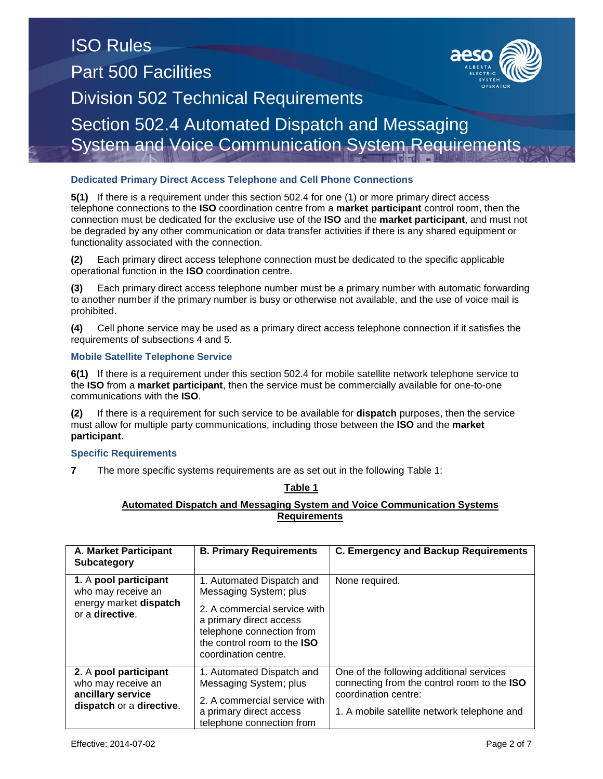### **Dedicated Primary Direct Access Telephone and Cell Phone Connections**

**5(1)** If there is a requirement under this section 502.4 for one (1) or more primary direct access telephone connections to the **ISO** coordination centre from a **market participant** control room, then the connection must be dedicated for the exclusive use of the **ISO** and the **market participant**, and must not be degraded by any other communication or data transfer activities if there is any shared equipment or functionality associated with the connection.

**(2)** Each primary direct access telephone connection must be dedicated to the specific applicable operational function in the **ISO** coordination centre.

**(3)** Each primary direct access telephone number must be a primary number with automatic forwarding to another number if the primary number is busy or otherwise not available, and the use of voice mail is prohibited.

**(4)** Cell phone service may be used as a primary direct access telephone connection if it satisfies the requirements of subsections 4 and 5.

### **Mobile Satellite Telephone Service**

**6(1)** If there is a requirement under this section 502.4 for mobile satellite network telephone service to the **ISO** from a **market participant**, then the service must be commercially available for one-to-one communications with the **ISO**.

**(2)** If there is a requirement for such service to be available for **dispatch** purposes, then the service must allow for multiple party communications, including those between the **ISO** and the **market participant**.

### **Specific Requirements**

**7** The more specific systems requirements are as set out in the following Table 1:

#### **Table 1**

## **Automated Dispatch and Messaging System and Voice Communication Systems Requirements**

| A. Market Participant<br><b>Subcategory</b>                                                  | <b>B. Primary Requirements</b>                                                                                                                                                                     | <b>C. Emergency and Backup Requirements</b>                                                                                                                    |
|----------------------------------------------------------------------------------------------|----------------------------------------------------------------------------------------------------------------------------------------------------------------------------------------------------|----------------------------------------------------------------------------------------------------------------------------------------------------------------|
| 1. A pool participant<br>who may receive an<br>energy market dispatch<br>or a directive.     | 1. Automated Dispatch and<br>Messaging System; plus<br>2. A commercial service with<br>a primary direct access<br>telephone connection from<br>the control room to the ISO<br>coordination centre. | None required.                                                                                                                                                 |
| 2. A pool participant<br>who may receive an<br>ancillary service<br>dispatch or a directive. | 1. Automated Dispatch and<br>Messaging System; plus<br>2. A commercial service with<br>a primary direct access<br>telephone connection from                                                        | One of the following additional services<br>connecting from the control room to the ISO<br>coordination centre:<br>1. A mobile satellite network telephone and |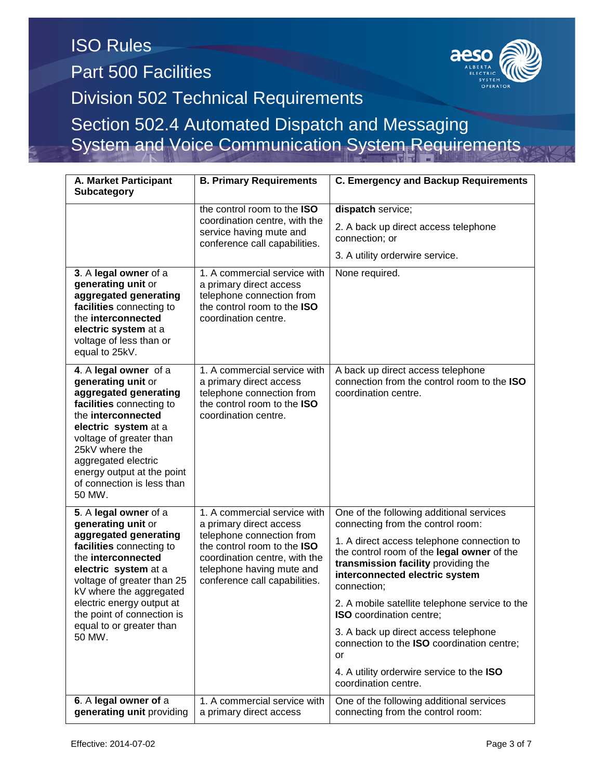# ISO Rules Part 500 Facilities Division 502 Technical Requirements Section 502.4 Automated Dispatch and Messaging

System and Voice Communication System Requirements

| A. Market Participant<br><b>Subcategory</b>                                                                                                                                                                                                                                                              | <b>B. Primary Requirements</b>                                                                                                                                                                                     | <b>C. Emergency and Backup Requirements</b>                                                                                                                                                                                                                                                                                                                                                                                                                                                                             |
|----------------------------------------------------------------------------------------------------------------------------------------------------------------------------------------------------------------------------------------------------------------------------------------------------------|--------------------------------------------------------------------------------------------------------------------------------------------------------------------------------------------------------------------|-------------------------------------------------------------------------------------------------------------------------------------------------------------------------------------------------------------------------------------------------------------------------------------------------------------------------------------------------------------------------------------------------------------------------------------------------------------------------------------------------------------------------|
|                                                                                                                                                                                                                                                                                                          | the control room to the ISO<br>coordination centre, with the<br>service having mute and<br>conference call capabilities.                                                                                           | dispatch service;<br>2. A back up direct access telephone<br>connection; or<br>3. A utility orderwire service.                                                                                                                                                                                                                                                                                                                                                                                                          |
| 3. A legal owner of a<br>generating unit or<br>aggregated generating<br>facilities connecting to<br>the interconnected<br>electric system at a<br>voltage of less than or<br>equal to 25kV.                                                                                                              | 1. A commercial service with<br>a primary direct access<br>telephone connection from<br>the control room to the ISO<br>coordination centre.                                                                        | None required.                                                                                                                                                                                                                                                                                                                                                                                                                                                                                                          |
| 4. A legal owner of a<br>generating unit or<br>aggregated generating<br>facilities connecting to<br>the interconnected<br>electric system at a<br>voltage of greater than<br>25kV where the<br>aggregated electric<br>energy output at the point<br>of connection is less than<br>50 MW.                 | 1. A commercial service with<br>a primary direct access<br>telephone connection from<br>the control room to the ISO<br>coordination centre.                                                                        | A back up direct access telephone<br>connection from the control room to the ISO<br>coordination centre.                                                                                                                                                                                                                                                                                                                                                                                                                |
| 5. A legal owner of a<br>generating unit or<br>aggregated generating<br>facilities connecting to<br>the interconnected<br>electric system at a<br>voltage of greater than 25<br>kV where the aggregated<br>electric energy output at<br>the point of connection is<br>equal to or greater than<br>50 MW. | 1. A commercial service with<br>a primary direct access<br>telephone connection from<br>the control room to the ISO<br>coordination centre, with the<br>telephone having mute and<br>conference call capabilities. | One of the following additional services<br>connecting from the control room:<br>1. A direct access telephone connection to<br>the control room of the legal owner of the<br>transmission facility providing the<br>interconnected electric system<br>connection;<br>2. A mobile satellite telephone service to the<br><b>ISO</b> coordination centre;<br>3. A back up direct access telephone<br>connection to the ISO coordination centre;<br>or<br>4. A utility orderwire service to the ISO<br>coordination centre. |
| 6. A legal owner of a<br>generating unit providing                                                                                                                                                                                                                                                       | 1. A commercial service with<br>a primary direct access                                                                                                                                                            | One of the following additional services<br>connecting from the control room:                                                                                                                                                                                                                                                                                                                                                                                                                                           |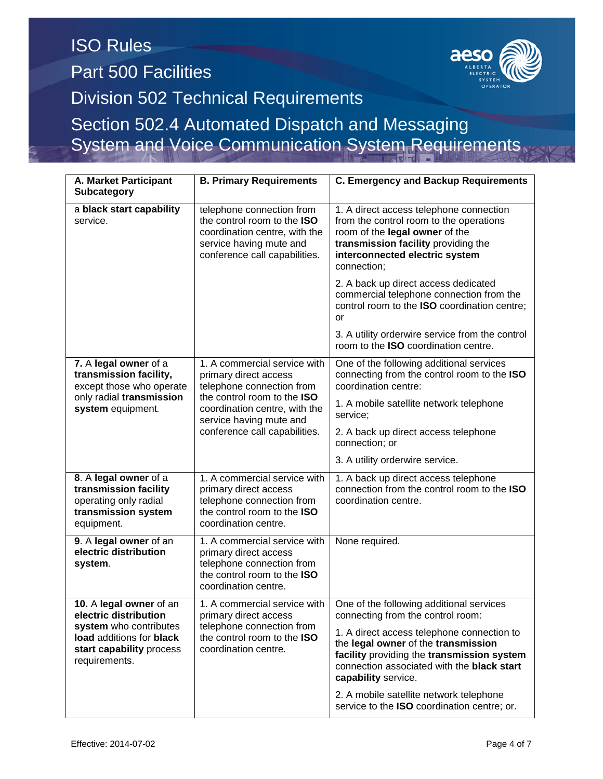| A. Market Participant<br><b>Subcategory</b>                                                                                                         | <b>B. Primary Requirements</b>                                                                                                                                                                                 | <b>C. Emergency and Backup Requirements</b>                                                                                                                                                                  |  |
|-----------------------------------------------------------------------------------------------------------------------------------------------------|----------------------------------------------------------------------------------------------------------------------------------------------------------------------------------------------------------------|--------------------------------------------------------------------------------------------------------------------------------------------------------------------------------------------------------------|--|
| a black start capability<br>service.                                                                                                                | telephone connection from<br>the control room to the ISO<br>coordination centre, with the<br>service having mute and<br>conference call capabilities.                                                          | 1. A direct access telephone connection<br>from the control room to the operations<br>room of the legal owner of the<br>transmission facility providing the<br>interconnected electric system<br>connection; |  |
|                                                                                                                                                     |                                                                                                                                                                                                                | 2. A back up direct access dedicated<br>commercial telephone connection from the<br>control room to the ISO coordination centre;<br>or                                                                       |  |
|                                                                                                                                                     |                                                                                                                                                                                                                | 3. A utility orderwire service from the control<br>room to the <b>ISO</b> coordination centre.                                                                                                               |  |
| 7. A legal owner of a<br>transmission facility,<br>except those who operate<br>only radial transmission<br>system equipment.                        | 1. A commercial service with<br>primary direct access<br>telephone connection from<br>the control room to the ISO<br>coordination centre, with the<br>service having mute and<br>conference call capabilities. | One of the following additional services<br>connecting from the control room to the ISO<br>coordination centre:                                                                                              |  |
|                                                                                                                                                     |                                                                                                                                                                                                                | 1. A mobile satellite network telephone<br>service:                                                                                                                                                          |  |
|                                                                                                                                                     |                                                                                                                                                                                                                | 2. A back up direct access telephone<br>connection; or                                                                                                                                                       |  |
|                                                                                                                                                     |                                                                                                                                                                                                                | 3. A utility orderwire service.                                                                                                                                                                              |  |
| 8. A legal owner of a<br>transmission facility<br>operating only radial<br>transmission system<br>equipment.                                        | 1. A commercial service with<br>primary direct access<br>telephone connection from<br>the control room to the ISO<br>coordination centre.                                                                      | 1. A back up direct access telephone<br>connection from the control room to the ISO<br>coordination centre.                                                                                                  |  |
| 9. A legal owner of an<br>electric distribution<br>system.                                                                                          | 1. A commercial service with<br>primary direct access<br>telephone connection from<br>the control room to the ISO<br>coordination centre.                                                                      | None required.                                                                                                                                                                                               |  |
| 10. A legal owner of an<br>electric distribution<br>system who contributes<br>load additions for black<br>start capability process<br>requirements. | 1. A commercial service with<br>primary direct access<br>telephone connection from<br>the control room to the ISO<br>coordination centre.                                                                      | One of the following additional services<br>connecting from the control room:                                                                                                                                |  |
|                                                                                                                                                     |                                                                                                                                                                                                                | 1. A direct access telephone connection to<br>the legal owner of the transmission<br>facility providing the transmission system<br>connection associated with the black start<br>capability service.         |  |
|                                                                                                                                                     |                                                                                                                                                                                                                | 2. A mobile satellite network telephone<br>service to the ISO coordination centre; or.                                                                                                                       |  |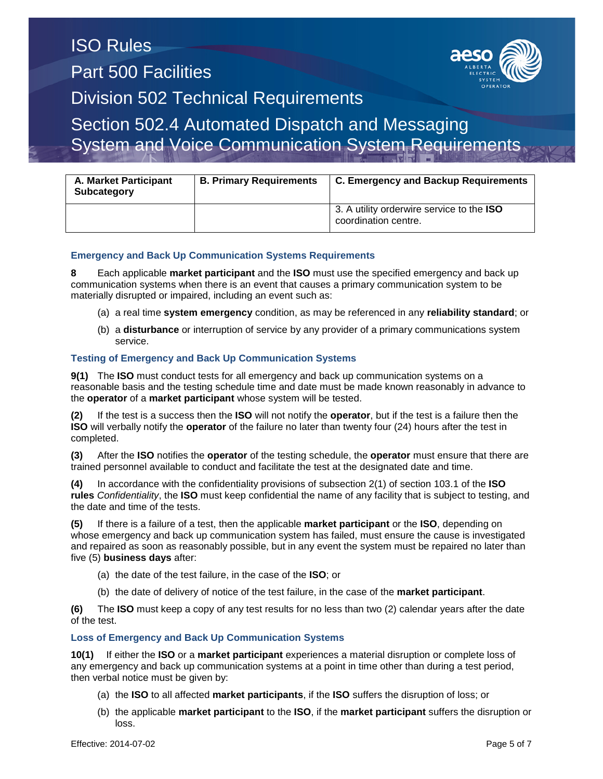# ISO Rules Part 500 Facilities Division 502 Technical Requirements Section 502.4 Automated Dispatch and Messaging

System and Voice Communication System Requirements

| <b>A. Market Participant</b><br>Subcategory | <b>B. Primary Requirements</b> | <b>C. Emergency and Backup Requirements</b>                              |  |
|---------------------------------------------|--------------------------------|--------------------------------------------------------------------------|--|
|                                             |                                | 3. A utility orderwire service to the <b>ISO</b><br>coordination centre. |  |

### **Emergency and Back Up Communication Systems Requirements**

**8** Each applicable **market participant** and the **ISO** must use the specified emergency and back up communication systems when there is an event that causes a primary communication system to be materially disrupted or impaired, including an event such as:

- (a) a real time **system emergency** condition, as may be referenced in any **reliability standard**; or
- (b) a **disturbance** or interruption of service by any provider of a primary communications system service.

### **Testing of Emergency and Back Up Communication Systems**

**9(1)** The **ISO** must conduct tests for all emergency and back up communication systems on a reasonable basis and the testing schedule time and date must be made known reasonably in advance to the **operator** of a **market participant** whose system will be tested.

**(2)** If the test is a success then the **ISO** will not notify the **operator**, but if the test is a failure then the **ISO** will verbally notify the **operator** of the failure no later than twenty four (24) hours after the test in completed.

**(3)** After the **ISO** notifies the **operator** of the testing schedule, the **operator** must ensure that there are trained personnel available to conduct and facilitate the test at the designated date and time.

**(4)** In accordance with the confidentiality provisions of subsection 2(1) of section 103.1 of the **ISO rules** *Confidentiality*, the **ISO** must keep confidential the name of any facility that is subject to testing, and the date and time of the tests.

**(5)** If there is a failure of a test, then the applicable **market participant** or the **ISO**, depending on whose emergency and back up communication system has failed, must ensure the cause is investigated and repaired as soon as reasonably possible, but in any event the system must be repaired no later than five (5) **business days** after:

- (a) the date of the test failure, in the case of the **ISO**; or
- (b) the date of delivery of notice of the test failure, in the case of the **market participant**.

**(6)** The **ISO** must keep a copy of any test results for no less than two (2) calendar years after the date of the test.

#### **Loss of Emergency and Back Up Communication Systems**

**10(1)** If either the **ISO** or a **market participant** experiences a material disruption or complete loss of any emergency and back up communication systems at a point in time other than during a test period, then verbal notice must be given by:

- (a) the **ISO** to all affected **market participants**, if the **ISO** suffers the disruption of loss; or
- (b) the applicable **market participant** to the **ISO**, if the **market participant** suffers the disruption or loss.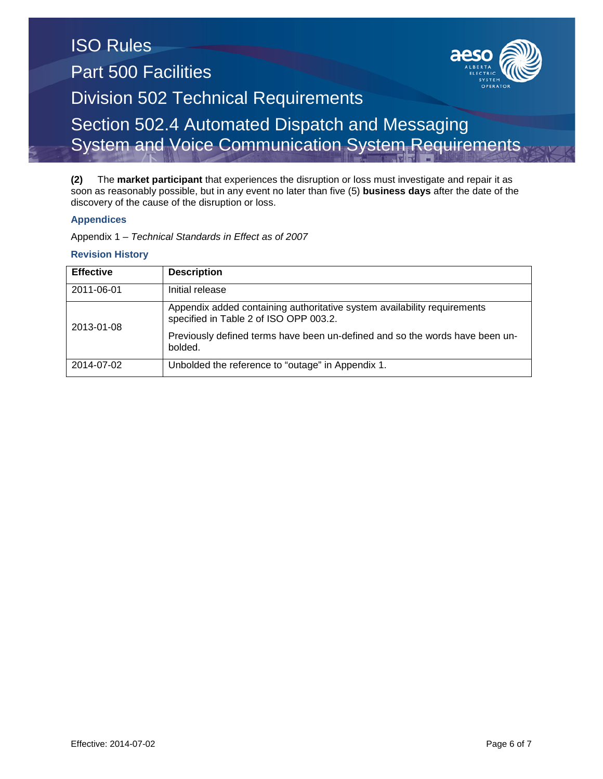**(2)** The **market participant** that experiences the disruption or loss must investigate and repair it as soon as reasonably possible, but in any event no later than five (5) **business days** after the date of the discovery of the cause of the disruption or loss.

## **Appendices**

Appendix 1 – *Technical Standards in Effect as of 2007*

## **Revision History**

| <b>Effective</b> | <b>Description</b>                                                                                                                                                                                 |
|------------------|----------------------------------------------------------------------------------------------------------------------------------------------------------------------------------------------------|
| 2011-06-01       | Initial release                                                                                                                                                                                    |
| 2013-01-08       | Appendix added containing authoritative system availability requirements<br>specified in Table 2 of ISO OPP 003.2.<br>Previously defined terms have been un-defined and so the words have been un- |
| 2014-07-02       | bolded.<br>Unbolded the reference to "outage" in Appendix 1.                                                                                                                                       |